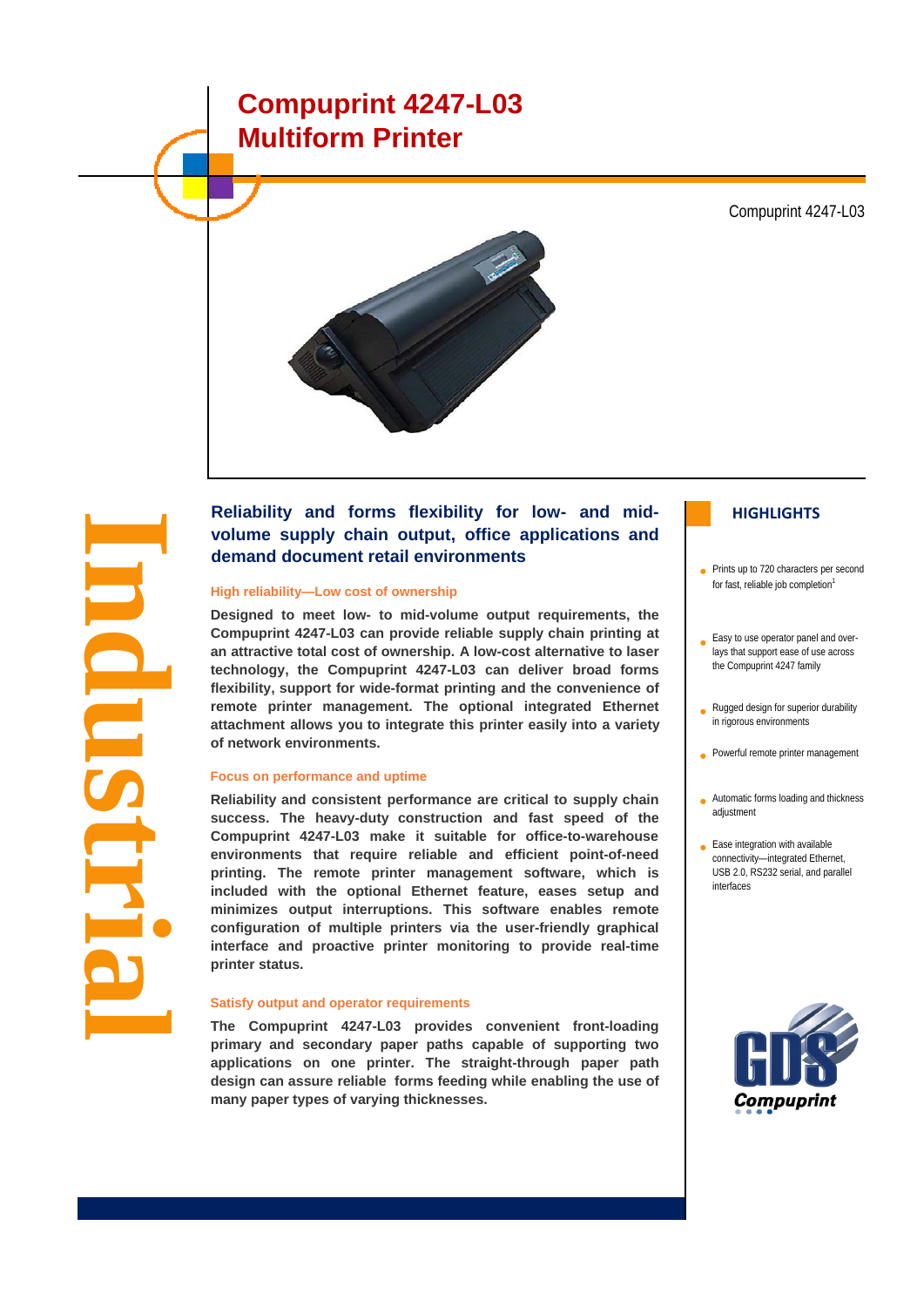# **Compuprint 4247-L03 Multiform Printer**

Compuprint 4247-L03



# **Reliability and forms flexibility for low- and mid- HIGHLIGHTS volume supply chain output, office applications and demand document retail environments**

#### **High reliability—Low cost of ownership**

**I**

**ndustrial**

**n**

**Designed to meet low- to mid-volume output requirements, the Compuprint 4247-L03 can provide reliable supply chain printing at an attractive total cost of ownership. A low-cost alternative to laser technology, the Compuprint 4247-L03 can deliver broad forms flexibility, support for wide-format printing and the convenience of remote printer management. The optional integrated Ethernet attachment allows you to integrate this printer easily into a variety of network environments.**

#### **Focus on performance and uptime**

**Reliability and consistent performance are critical to supply chain success. The heavy-duty construction and fast speed of the Compuprint 4247-L03 make it suitable for office-to-warehouse environments that require reliable and efficient point-of-need printing. The remote printer management software, which is included with the optional Ethernet feature, eases setup and minimizes output interruptions. This software enables remote configuration of multiple printers via the user-friendly graphical interface and proactive printer monitoring to provide real-time printer status.**

#### **Satisfy output and operator requirements**

**The Compuprint 4247-L03 provides convenient front-loading primary and secondary paper paths capable of supporting two applications on one printer. The straight-through paper path design can assure reliable forms feeding while enabling the use of many paper types of varying thicknesses.**

- Prints up to 720 characters per second for fast, reliable job completion<sup>1</sup>
- Easy to use operator panel and overlays that support ease of use across the Compuprint 4247 family
- Rugged design for superior durability in rigorous environments
- Powerful remote printer management
- Automatic forms loading and thickness adjustment
- Ease integration with available connectivity—integrated Ethernet, USB 2.0, RS232 serial, and parallel interfaces

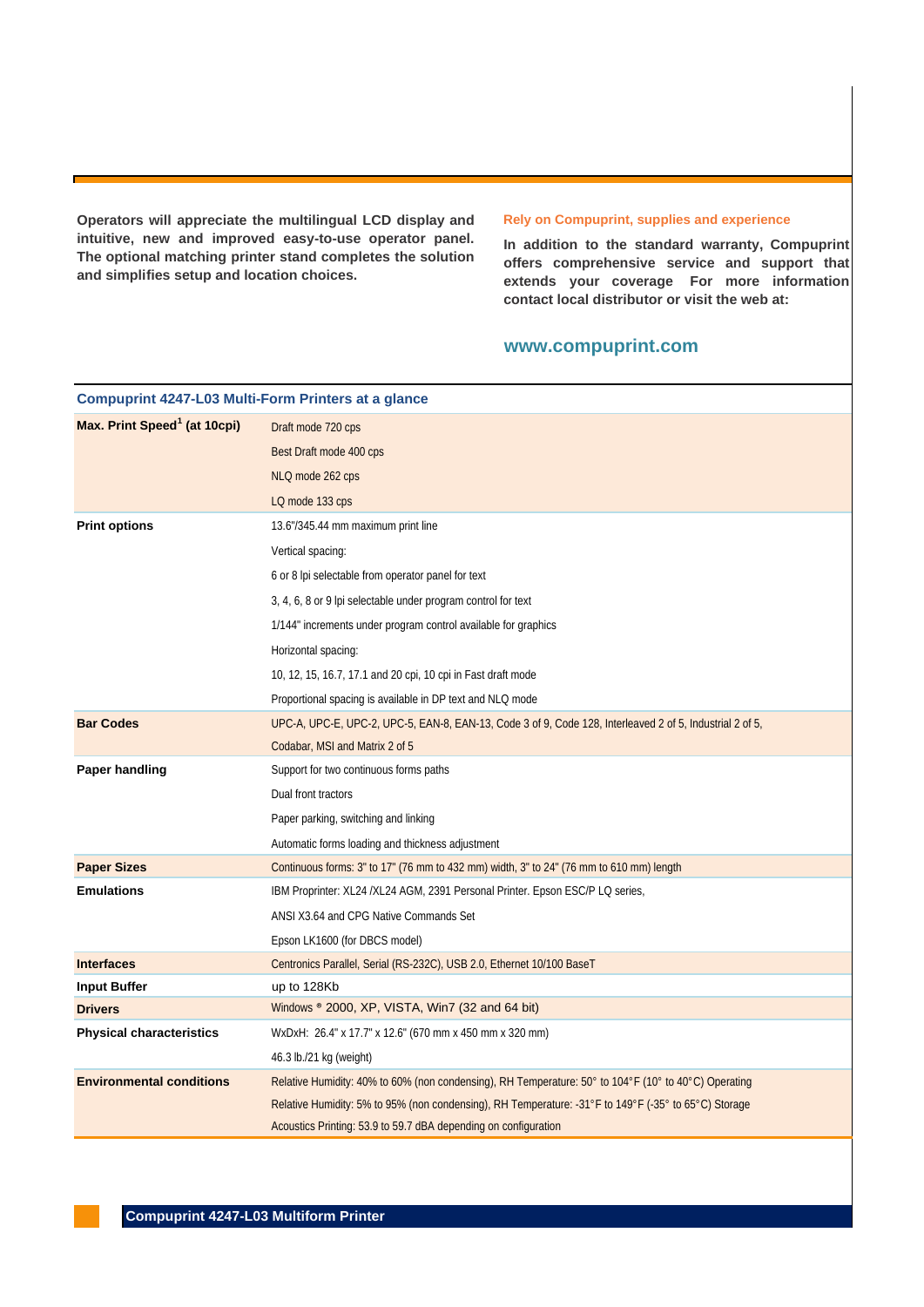**Operators will appreciate the multilingual LCD display and intuitive, new and improved easy-to-use operator panel. The optional matching printer stand completes the solution and simplifies setup and location choices.**

#### **Rely on Compuprint, supplies and experience**

**In addition to the standard warranty, Compuprint offers comprehensive service and support that extends your coverage For more information contact local distributor or visit the web at:**

#### **www.compuprint.com**

| <b>Compuprint 4247-L03 Multi-Form Printers at a glance</b> |                                                                                                          |
|------------------------------------------------------------|----------------------------------------------------------------------------------------------------------|
| Max. Print Speed <sup>1</sup> (at 10cpi)                   | Draft mode 720 cps                                                                                       |
|                                                            | Best Draft mode 400 cps                                                                                  |
|                                                            | NLQ mode 262 cps                                                                                         |
|                                                            | LQ mode 133 cps                                                                                          |
| <b>Print options</b>                                       | 13.6"/345.44 mm maximum print line                                                                       |
|                                                            | Vertical spacing:                                                                                        |
|                                                            | 6 or 8 lpi selectable from operator panel for text                                                       |
|                                                            | 3, 4, 6, 8 or 9 lpi selectable under program control for text                                            |
|                                                            | 1/144" increments under program control available for graphics                                           |
|                                                            | Horizontal spacing:                                                                                      |
|                                                            | 10, 12, 15, 16.7, 17.1 and 20 cpi, 10 cpi in Fast draft mode                                             |
|                                                            | Proportional spacing is available in DP text and NLQ mode                                                |
| <b>Bar Codes</b>                                           | UPC-A, UPC-E, UPC-2, UPC-5, EAN-8, EAN-13, Code 3 of 9, Code 128, Interleaved 2 of 5, Industrial 2 of 5, |
|                                                            | Codabar, MSI and Matrix 2 of 5                                                                           |
| Paper handling                                             | Support for two continuous forms paths                                                                   |
|                                                            | Dual front tractors                                                                                      |
|                                                            | Paper parking, switching and linking                                                                     |
|                                                            | Automatic forms loading and thickness adjustment                                                         |
| <b>Paper Sizes</b>                                         | Continuous forms: 3" to 17" (76 mm to 432 mm) width, 3" to 24" (76 mm to 610 mm) length                  |
| <b>Emulations</b>                                          | IBM Proprinter: XL24 /XL24 AGM, 2391 Personal Printer. Epson ESC/P LQ series,                            |
|                                                            | ANSI X3.64 and CPG Native Commands Set                                                                   |
|                                                            | Epson LK1600 (for DBCS model)                                                                            |
| <b>Interfaces</b>                                          | Centronics Parallel, Serial (RS-232C), USB 2.0, Ethernet 10/100 BaseT                                    |
| <b>Input Buffer</b>                                        | up to 128Kb                                                                                              |
| <b>Drivers</b>                                             | Windows ® 2000, XP, VISTA, Win7 (32 and 64 bit)                                                          |
| <b>Physical characteristics</b>                            | WxDxH: 26.4" x 17.7" x 12.6" (670 mm x 450 mm x 320 mm)                                                  |
|                                                            | 46.3 lb./21 kg (weight)                                                                                  |
| <b>Environmental conditions</b>                            | Relative Humidity: 40% to 60% (non condensing), RH Temperature: 50° to 104°F (10° to 40°C) Operating     |
|                                                            | Relative Humidity: 5% to 95% (non condensing), RH Temperature: -31°F to 149°F (-35° to 65°C) Storage     |
|                                                            | Acoustics Printing: 53.9 to 59.7 dBA depending on configuration                                          |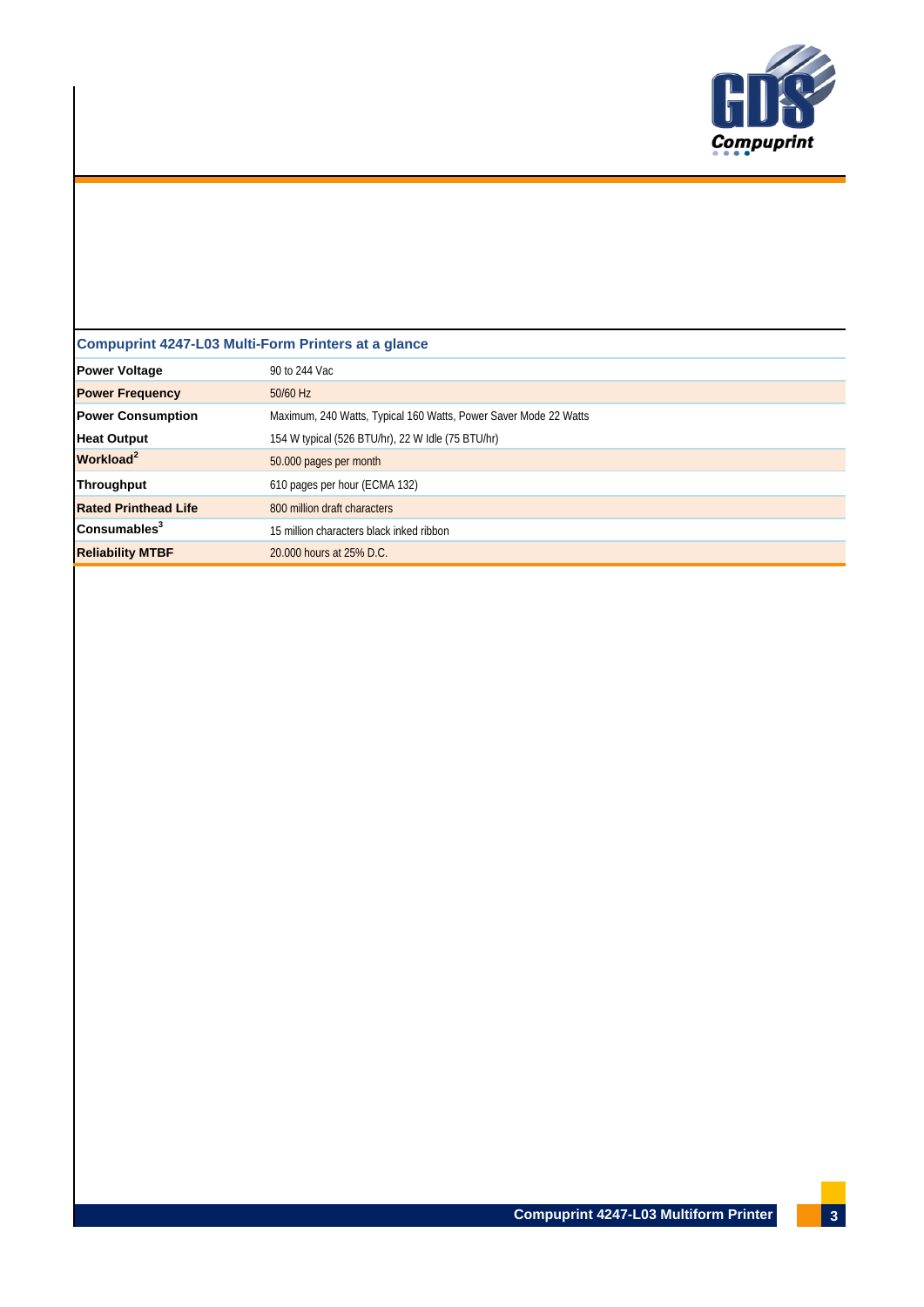

# **Compuprint 4247-L03 Multi-Form Printers at a glance**

| <b>Power Voltage</b>        | 90 to 244 Vac                                                    |
|-----------------------------|------------------------------------------------------------------|
| <b>Power Frequency</b>      | $50/60$ Hz                                                       |
| <b>Power Consumption</b>    | Maximum, 240 Watts, Typical 160 Watts, Power Saver Mode 22 Watts |
| <b>Heat Output</b>          | 154 W typical (526 BTU/hr), 22 W Idle (75 BTU/hr)                |
| Workload <sup>2</sup>       | 50.000 pages per month                                           |
| <b>Throughput</b>           | 610 pages per hour (ECMA 132)                                    |
| <b>Rated Printhead Life</b> | 800 million draft characters                                     |
| Consumables <sup>3</sup>    | 15 million characters black inked ribbon                         |
| <b>Reliability MTBF</b>     | 20,000 hours at 25% D.C.                                         |